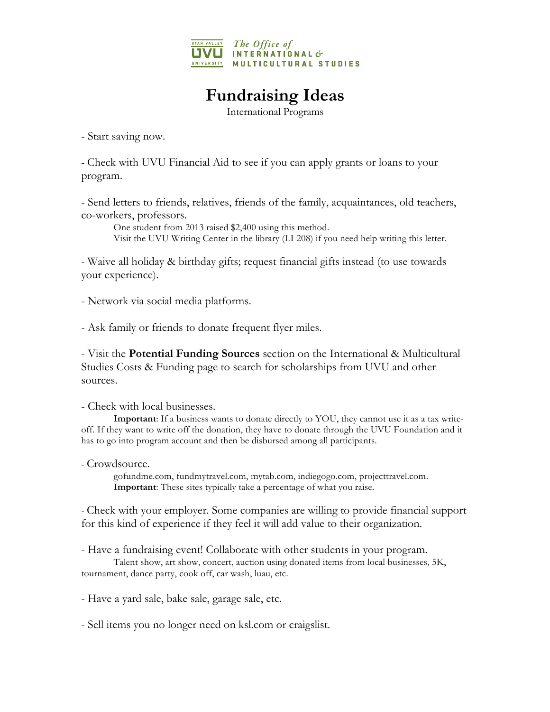

## **Fundraising Ideas**

International Programs

- Start saving now.

- Check with UVU Financial Aid to see if you can apply grants or loans to your program.

- Send letters to friends, relatives, friends of the family, acquaintances, old teachers, co-workers, professors.

One student from 2013 raised \$2,400 using this method. Visit the UVU Writing Center in the library (LI 208) if you need help writing this letter.

- Waive all holiday & birthday gifts; request financial gifts instead (to use towards your experience).

- Network via social media platforms.

- Ask family or friends to donate frequent flyer miles.

- Visit the **Potential Funding Sources** section on the International & Multicultural Studies Costs & Funding page to search for scholarships from UVU and other sources.

- Check with local businesses.

**Important**: If a business wants to donate directly to YOU, they cannot use it as a tax writeoff. If they want to write off the donation, they have to donate through the UVU Foundation and it has to go into program account and then be disbursed among all participants.

- Crowdsource.

gofundme.com, fundmytravel.com, mytab.com, indiegogo.com, projecttravel.com. **Important**: These sites typically take a percentage of what you raise.

- Check with your employer. Some companies are willing to provide financial support for this kind of experience if they feel it will add value to their organization.

- Have a fundraising event! Collaborate with other students in your program. Talent show, art show, concert, auction using donated items from local businesses, 5K, tournament, dance party, cook off, car wash, luau, etc.

- Have a yard sale, bake sale, garage sale, etc.

- Sell items you no longer need on ksl.com or craigslist.